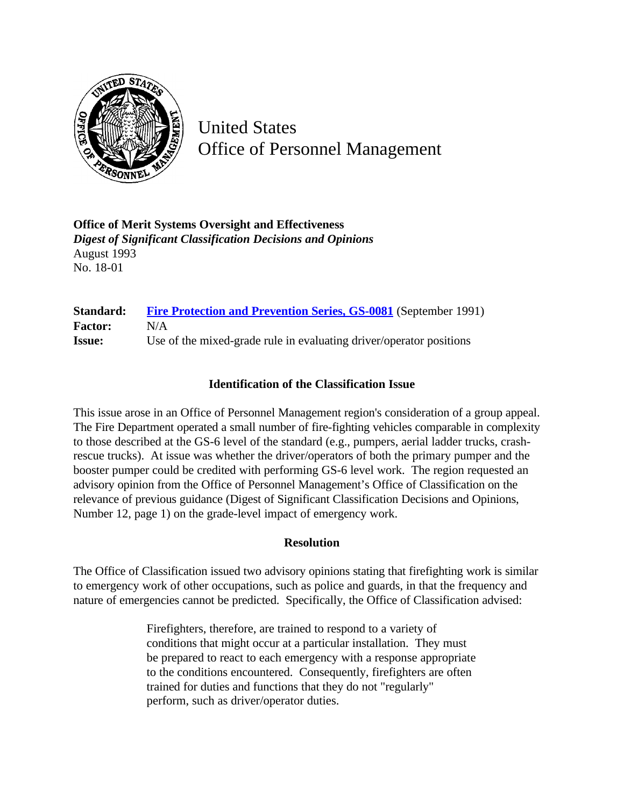

United States Office of Personnel Management

**Office of Merit Systems Oversight and Effectiveness** *Digest of Significant Classification Decisions and Opinions* August 1993 No. 18-01

| Standard:      | Fire Protection and Prevention Series, GS-0081 (September 1991)     |
|----------------|---------------------------------------------------------------------|
| <b>Factor:</b> | N/A                                                                 |
| <b>Issue:</b>  | Use of the mixed-grade rule in evaluating driver/operator positions |

## **Identification of the Classification Issue**

This issue arose in an Office of Personnel Management region's consideration of a group appeal. The Fire Department operated a small number of fire-fighting vehicles comparable in complexity to those described at the GS-6 level of the standard (e.g., pumpers, aerial ladder trucks, crashrescue trucks). At issue was whether the driver/operators of both the primary pumper and the booster pumper could be credited with performing GS-6 level work. The region requested an advisory opinion from the Office of Personnel Management's Office of Classification on the relevance of previous guidance (Digest of Significant Classification Decisions and Opinions, Number 12, page 1) on the grade-level impact of emergency work.

## **Resolution**

The Office of Classification issued two advisory opinions stating that firefighting work is similar to emergency work of other occupations, such as police and guards, in that the frequency and nature of emergencies cannot be predicted. Specifically, the Office of Classification advised:

> Firefighters, therefore, are trained to respond to a variety of conditions that might occur at a particular installation. They must be prepared to react to each emergency with a response appropriate to the conditions encountered. Consequently, firefighters are often trained for duties and functions that they do not "regularly" perform, such as driver/operator duties.